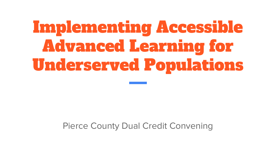# Implementing Accessible Advanced Learning for Underserved Populations

#### Pierce County Dual Credit Convening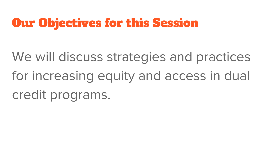## Our Objectives for this Session

We will discuss strategies and practices for increasing equity and access in dual credit programs.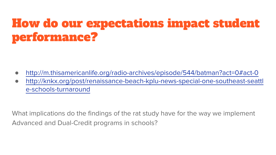## How do our expectations impact student performance?

- <http://m.thisamericanlife.org/radio-archives/episode/544/batman?act=0#act-0>
- [http://knkx.org/post/renaissance-beach-kplu-news-special-one-southeast-seattl](http://knkx.org/post/renaissance-beach-kplu-news-special-one-southeast-seattle-schools-turnaround) [e-schools-turnaround](http://knkx.org/post/renaissance-beach-kplu-news-special-one-southeast-seattle-schools-turnaround)

What implications do the findings of the rat study have for the way we implement Advanced and Dual-Credit programs in schools?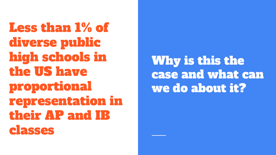Less than 1% of diverse public high schools in the US have proportional representation in their AP and IB classes

Why is this the case and what can we do about it?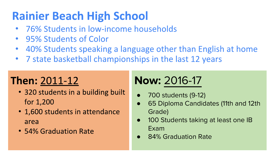## **Rainier Beach High School**

- 76% Students in low-income households
- 95% Students of Color
- 40% Students speaking a language other than English at home  $\bullet$
- 7 state basketball championships in the last 12 years

## **Then: 2011-12**

- 320 students in a building built for 1.200
- 1,600 students in attendance area
- 54% Graduation Rate

## **Now:** 2016-17

- 700 students (9-12)
- 65 Diploma Candidates (11th and 12th Grade)
- 100 Students taking at least one IB Exam
- 84% Graduation Rate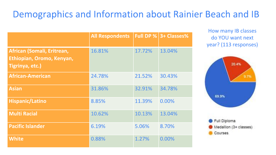#### Demographics and Information about Rainier Beach and IB

|                                                                            | <b>All Respondents</b> | <b>Full DP %</b> | 3+ Classes% |
|----------------------------------------------------------------------------|------------------------|------------------|-------------|
| African (Somali, Eritrean,<br>Ethiopian, Oromo, Kenyan,<br>Tigrinya, etc.) | 16.81%                 | 17.72%           | 13.04%      |
| <b>African-American</b>                                                    | 24.78%                 | 21.52%           | 30.43%      |
| <b>Asian</b>                                                               | 31.86%                 | 32.91%           | 34.78%      |
| <b>Hispanic/Latino</b>                                                     | 8.85%                  | 11.39%           | 0.00%       |
| <b>Multi Racial</b>                                                        | 10.62%                 | 10.13%           | 13.04%      |
| <b>Pacific Islander</b>                                                    | 6.19%                  | 5.06%            | 8.70%       |
| <b>White</b>                                                               | 0.88%                  | 1.27%            | 0.00%       |

How many IB classes do YOU want next year? (113 responses)

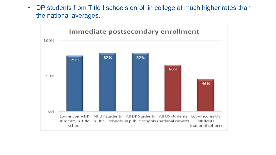• DP students from Title I schools enroll in college at much higher rates than the national averages.

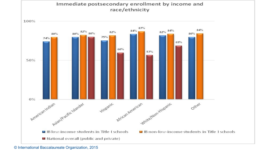

#### © International Baccalaureate Organization, 2015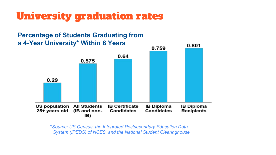### University graduation rates

#### **Percentage of Students Graduating from a 4-Year University\* Within 6 Years**



\**Source: US Census, the Integrated Postsecondary Education Data System (IPEDS) of NCES, and the National Student Clearinghouse*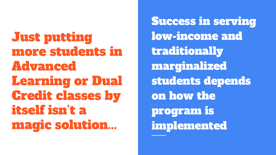Just putting more students in Advanced Learning or Dual Credit classes by itself isn't a magic solution...

Success in serving low-income and traditionally marginalized students depends on how the program is implemented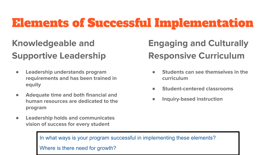#### **Knowledgeable and Supportive Leadership**

- **● Leadership understands program requirements and has been trained in equity**
- **● Adequate time and both financial and human resources are dedicated to the program**
- **● Leadership holds and communicates vision of success for every student**

### **Engaging and Culturally Responsive Curriculum**

- **● Students can see themselves in the curriculum**
- **● Student-centered classrooms**
- **● Inquiry-based instruction**

In what ways is your program successful in implementing these elements? Where is there need for growth?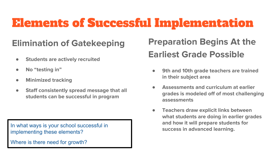#### **Elimination of Gatekeeping**

- **● Students are actively recruited**
- **● No "testing in"**
- **● Minimized tracking**
- **● Staff consistently spread message that all students can be successful in program**

In what ways is your school successful in **Example 2** and now it will prepare student implementing. implementing these elements?

Where is there need for growth?

#### **Preparation Begins At the Earliest Grade Possible**

- **9th and 10th grade teachers are trained in their subject area**
- **Assessments and curriculum at earlier grades is modeled off of most challenging assessments**
- **● Teachers draw explicit links between what students are doing in earlier grades and how it will prepare students for**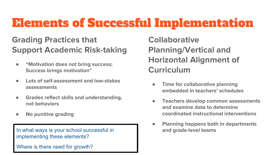#### **Grading Practices that Support Academic Risk-taking**

- **● "Motivation does not bring success; Success brings motivation"**
- **● Lots of self-assessment and low-stakes assessments**
- **● Grades reflect skills and understanding, not behaviors**
- **● No punitive grading**

In what ways is your school successful in **and grade-level teams** implementing these elements?

Where is there need for growth?

**Collaborative Planning/Vertical and Horizontal Alignment of Curriculum**

- **● Time for collaborative planning embedded in teachers' schedules**
- **● Teachers develop common assessments and examine data to determine coordinated instructional interventions**
- **● Planning happens both in departments**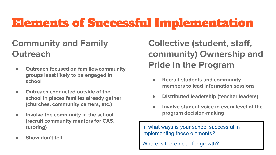#### **Community and Family Outreach**

- **● Outreach focused on families/community groups least likely to be engaged in school**
- **● Outreach conducted outside of the school in places families already gather (churches, community centers, etc.)**
- **● Involve the community in the school (recruit community mentors for CAS, tutoring)**
- **● Show don't tell**

#### **Collective (student, staff, community) Ownership and Pride in the Program**

- **● Recruit students and community members to lead information sessions**
- **● Distributed leadership (teacher leaders)**
- **● Involve student voice in every level of the program decision-making**

In what ways is your school successful in implementing these elements?

Where is there need for growth?